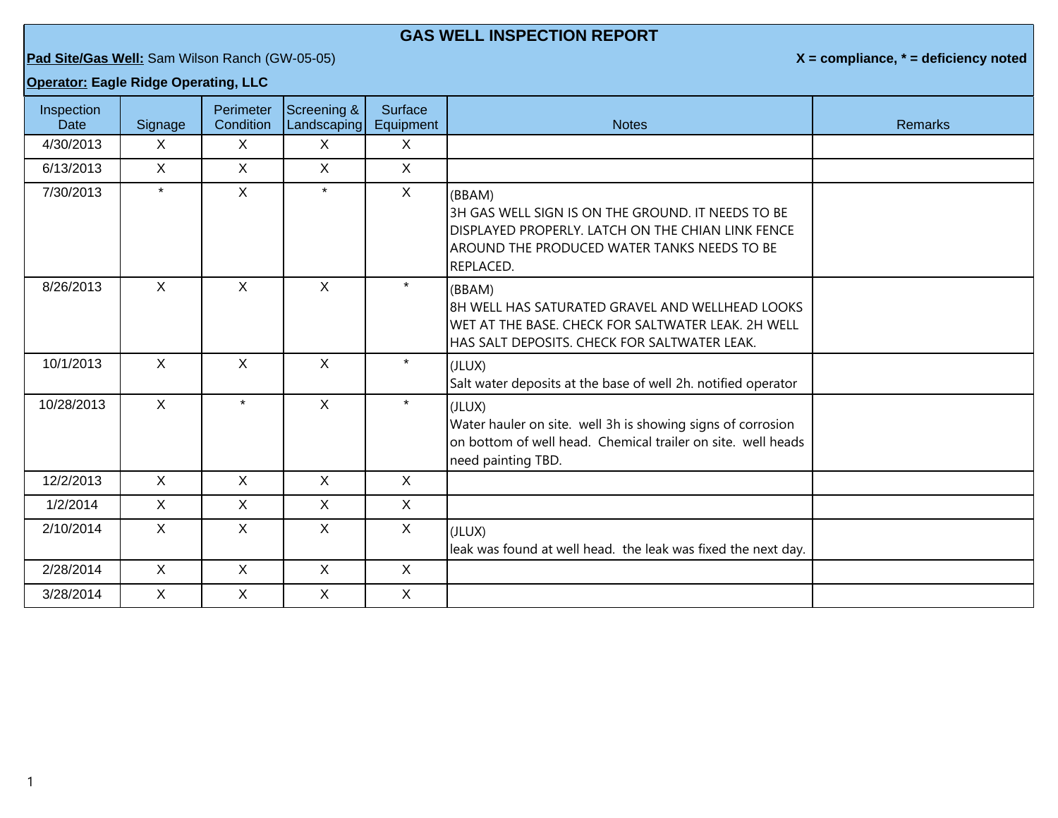## **GAS WELL INSPECTION REPORT**

**Pad Site/Gas Well:** Sam Wilson Ranch (GW-05-05) **X = compliance, \* = deficiency noted**

## **Operator: Eagle Ridge Operating, LLC**

| Inspection<br>Date | Signage      | Perimeter<br>Condition | Screening &<br>Landscaping | <b>Surface</b><br>Equipment | <b>Notes</b>                                                                                                                                                                 | <b>Remarks</b> |
|--------------------|--------------|------------------------|----------------------------|-----------------------------|------------------------------------------------------------------------------------------------------------------------------------------------------------------------------|----------------|
| 4/30/2013          | X            | $\mathsf{X}$           | X                          | X                           |                                                                                                                                                                              |                |
| 6/13/2013          | X            | X                      | X                          | $\mathsf{X}$                |                                                                                                                                                                              |                |
| 7/30/2013          | $\star$      | X                      | $\star$                    | $\mathsf{X}$                | (BBAM)<br>3H GAS WELL SIGN IS ON THE GROUND. IT NEEDS TO BE<br>DISPLAYED PROPERLY. LATCH ON THE CHIAN LINK FENCE<br>AROUND THE PRODUCED WATER TANKS NEEDS TO BE<br>REPLACED. |                |
| 8/26/2013          | $\mathsf{X}$ | $\mathsf{X}$           | $\mathsf{X}$               | $\star$                     | (BBAM)<br>18H WELL HAS SATURATED GRAVEL AND WELLHEAD LOOKS<br>WET AT THE BASE. CHECK FOR SALTWATER LEAK. 2H WELL<br>HAS SALT DEPOSITS. CHECK FOR SALTWATER LEAK.             |                |
| 10/1/2013          | $\mathsf{X}$ | $\mathsf{X}$           | $\mathsf{X}$               | $\star$                     | (JLUX)<br>Salt water deposits at the base of well 2h. notified operator                                                                                                      |                |
| 10/28/2013         | X            | $\star$                | X                          | $\star$                     | (JLUX)<br>Water hauler on site. well 3h is showing signs of corrosion<br>on bottom of well head. Chemical trailer on site. well heads<br>need painting TBD.                  |                |
| 12/2/2013          | X            | X                      | X                          | X                           |                                                                                                                                                                              |                |
| 1/2/2014           | $\mathsf{X}$ | X                      | X                          | $\mathsf{X}$                |                                                                                                                                                                              |                |
| 2/10/2014          | X.           | X                      | X                          | $\mathsf{X}$                | (JLUX)<br>leak was found at well head. the leak was fixed the next day.                                                                                                      |                |
| 2/28/2014          | X            | X                      | X                          | $\mathsf{X}$                |                                                                                                                                                                              |                |
| 3/28/2014          | X            | X                      | X                          | $\mathsf{X}$                |                                                                                                                                                                              |                |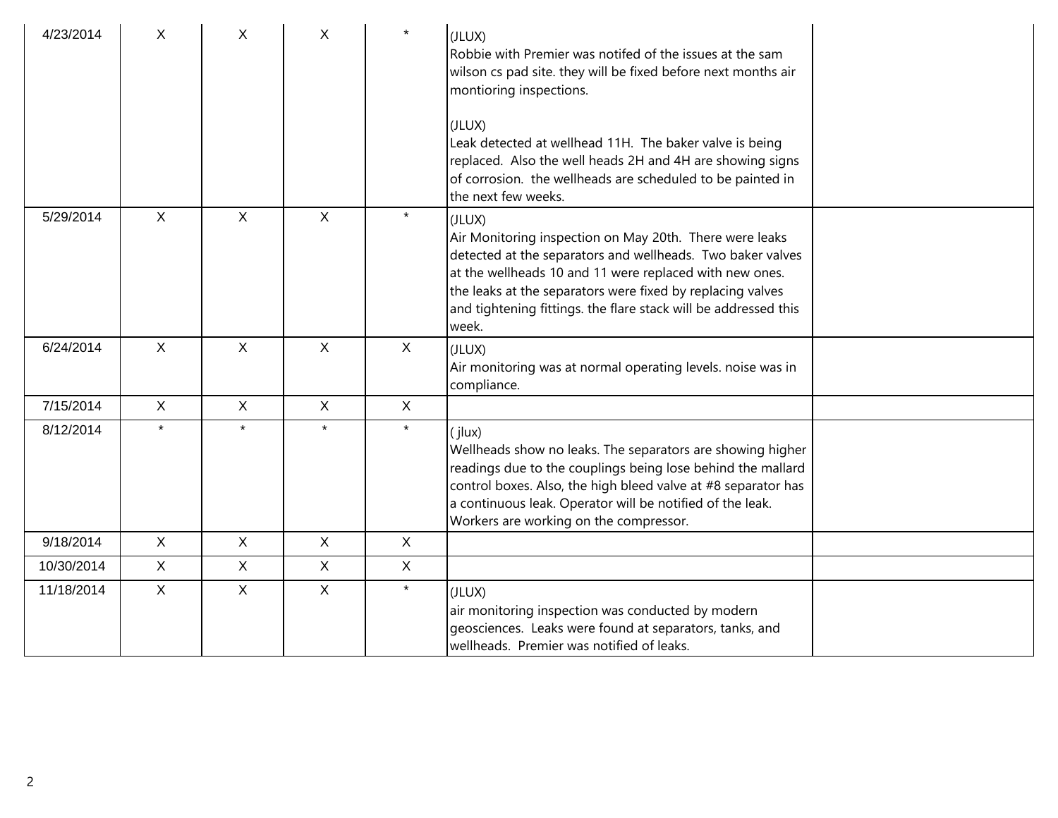| 4/23/2014  | X            | X            | X            | $\star$      | (JLUX)<br>Robbie with Premier was notifed of the issues at the sam<br>wilson cs pad site. they will be fixed before next months air<br>montioring inspections.<br>(JLUX)<br>Leak detected at wellhead 11H. The baker valve is being<br>replaced. Also the well heads 2H and 4H are showing signs                                     |  |
|------------|--------------|--------------|--------------|--------------|--------------------------------------------------------------------------------------------------------------------------------------------------------------------------------------------------------------------------------------------------------------------------------------------------------------------------------------|--|
|            |              |              |              |              | of corrosion. the wellheads are scheduled to be painted in<br>the next few weeks.                                                                                                                                                                                                                                                    |  |
| 5/29/2014  | $\mathsf{X}$ | $\mathsf{X}$ | $\mathsf{X}$ | $\star$      | (JLUX)<br>Air Monitoring inspection on May 20th. There were leaks<br>detected at the separators and wellheads. Two baker valves<br>at the wellheads 10 and 11 were replaced with new ones.<br>the leaks at the separators were fixed by replacing valves<br>and tightening fittings. the flare stack will be addressed this<br>week. |  |
| 6/24/2014  | $\mathsf{X}$ | $\mathsf{X}$ | $\sf X$      | X            | (JLUX)<br>Air monitoring was at normal operating levels. noise was in<br>compliance.                                                                                                                                                                                                                                                 |  |
| 7/15/2014  | X            | $\mathsf{X}$ | $\mathsf{X}$ | X            |                                                                                                                                                                                                                                                                                                                                      |  |
| 8/12/2014  | $\star$      | $\star$      | $\star$      | $\star$      | (i ux)<br>Wellheads show no leaks. The separators are showing higher<br>readings due to the couplings being lose behind the mallard<br>control boxes. Also, the high bleed valve at #8 separator has<br>a continuous leak. Operator will be notified of the leak.<br>Workers are working on the compressor.                          |  |
| 9/18/2014  | $\mathsf{X}$ | $\mathsf{X}$ | $\mathsf{X}$ | X            |                                                                                                                                                                                                                                                                                                                                      |  |
| 10/30/2014 | X            | $\mathsf{X}$ | $\mathsf{X}$ | $\mathsf{X}$ |                                                                                                                                                                                                                                                                                                                                      |  |
| 11/18/2014 | $\mathsf{X}$ | $\mathsf{X}$ | $\sf X$      | $\star$      | (JLUX)<br>air monitoring inspection was conducted by modern<br>geosciences. Leaks were found at separators, tanks, and<br>wellheads. Premier was notified of leaks.                                                                                                                                                                  |  |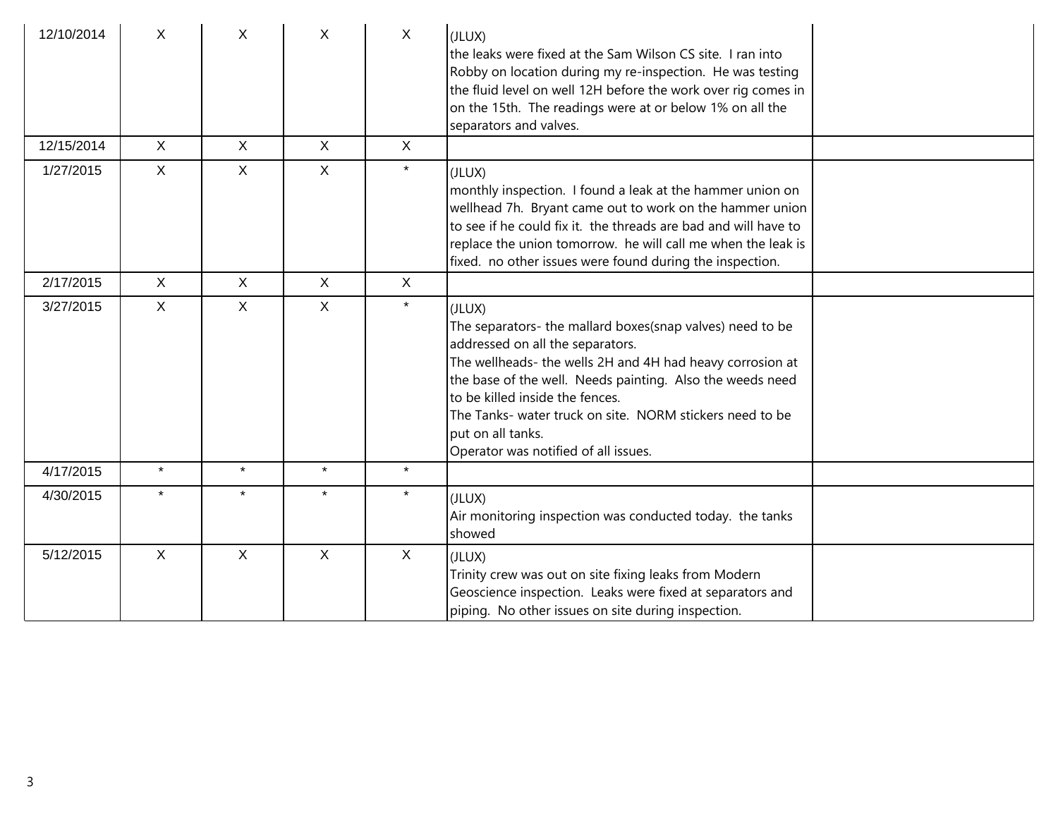| 12/10/2014 | X            | X            | X            | X            | (JLUX)<br>the leaks were fixed at the Sam Wilson CS site. I ran into<br>Robby on location during my re-inspection. He was testing<br>the fluid level on well 12H before the work over rig comes in<br>on the 15th. The readings were at or below 1% on all the<br>separators and valves.                                                                                                      |
|------------|--------------|--------------|--------------|--------------|-----------------------------------------------------------------------------------------------------------------------------------------------------------------------------------------------------------------------------------------------------------------------------------------------------------------------------------------------------------------------------------------------|
| 12/15/2014 | $\mathsf{X}$ | $\mathsf{X}$ | $\mathsf{X}$ | $\sf X$      |                                                                                                                                                                                                                                                                                                                                                                                               |
| 1/27/2015  | $\mathsf{X}$ | $\mathsf{X}$ | $\mathsf{X}$ | $\star$      | (JLUX)<br>monthly inspection. I found a leak at the hammer union on<br>wellhead 7h. Bryant came out to work on the hammer union<br>to see if he could fix it. the threads are bad and will have to<br>replace the union tomorrow. he will call me when the leak is<br>fixed. no other issues were found during the inspection.                                                                |
| 2/17/2015  | X            | $\mathsf{X}$ | $\mathsf{X}$ | $\mathsf{X}$ |                                                                                                                                                                                                                                                                                                                                                                                               |
| 3/27/2015  | $\mathsf{X}$ | $\mathsf{X}$ | $\mathsf{X}$ | $\star$      | (JLUX)<br>The separators- the mallard boxes(snap valves) need to be<br>addressed on all the separators.<br>The wellheads- the wells 2H and 4H had heavy corrosion at<br>the base of the well. Needs painting. Also the weeds need<br>to be killed inside the fences.<br>The Tanks- water truck on site. NORM stickers need to be<br>put on all tanks.<br>Operator was notified of all issues. |
| 4/17/2015  | $\star$      | $\star$      | $\star$      | $\star$      |                                                                                                                                                                                                                                                                                                                                                                                               |
| 4/30/2015  | $\star$      | $\star$      | $\star$      | $\star$      | (JLUX)<br>Air monitoring inspection was conducted today. the tanks<br>showed                                                                                                                                                                                                                                                                                                                  |
| 5/12/2015  | $\mathsf{X}$ | $\mathsf{X}$ | $\mathsf{X}$ | $\mathsf{X}$ | (JLUX)<br>Trinity crew was out on site fixing leaks from Modern<br>Geoscience inspection. Leaks were fixed at separators and<br>piping. No other issues on site during inspection.                                                                                                                                                                                                            |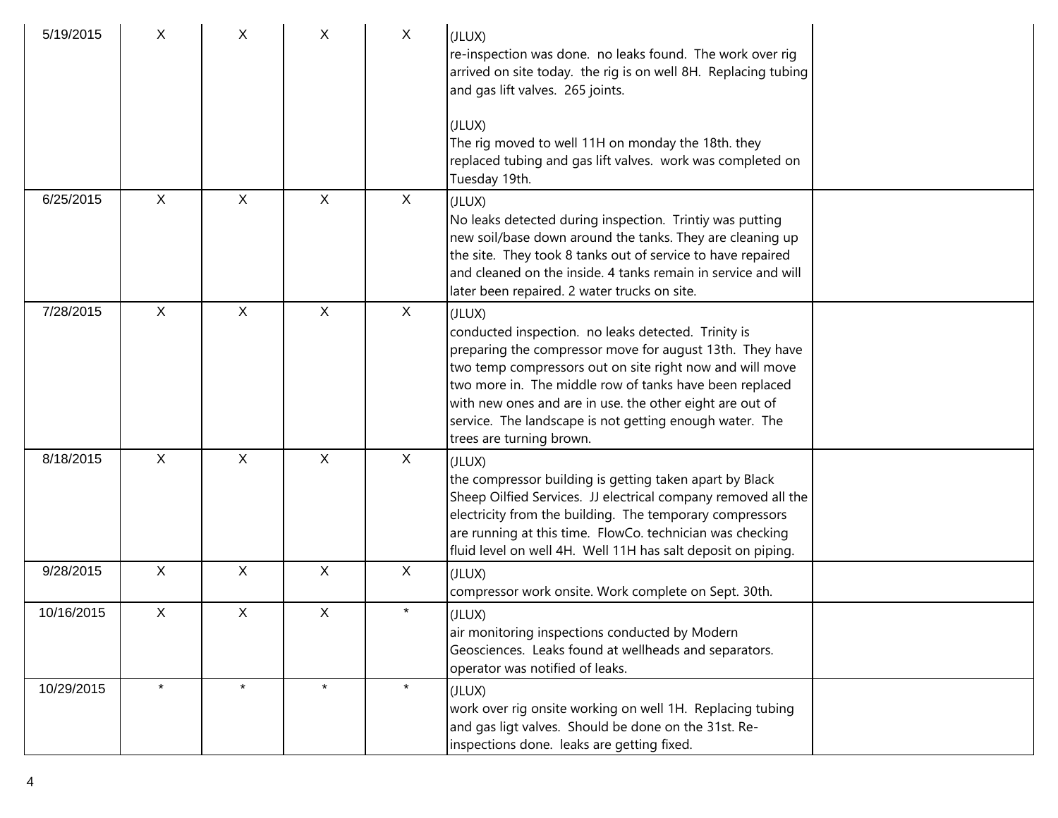| 5/19/2015  | X            | X            | X            | $\mathsf{X}$ | (JLUX)<br>re-inspection was done. no leaks found. The work over rig<br>arrived on site today. the rig is on well 8H. Replacing tubing<br>and gas lift valves. 265 joints.<br>(JLUX)<br>The rig moved to well 11H on monday the 18th. they<br>replaced tubing and gas lift valves. work was completed on<br>Tuesday 19th.                                                                            |
|------------|--------------|--------------|--------------|--------------|-----------------------------------------------------------------------------------------------------------------------------------------------------------------------------------------------------------------------------------------------------------------------------------------------------------------------------------------------------------------------------------------------------|
| 6/25/2015  | $\sf X$      | X            | X            | X            | (JLUX)<br>No leaks detected during inspection. Trintiy was putting<br>new soil/base down around the tanks. They are cleaning up<br>the site. They took 8 tanks out of service to have repaired<br>and cleaned on the inside. 4 tanks remain in service and will<br>later been repaired. 2 water trucks on site.                                                                                     |
| 7/28/2015  | $\sf X$      | X            | X            | X            | (JLUX)<br>conducted inspection. no leaks detected. Trinity is<br>preparing the compressor move for august 13th. They have<br>two temp compressors out on site right now and will move<br>two more in. The middle row of tanks have been replaced<br>with new ones and are in use. the other eight are out of<br>service. The landscape is not getting enough water. The<br>trees are turning brown. |
| 8/18/2015  | $\mathsf{X}$ | $\mathsf{X}$ | $\mathsf{X}$ | X            | (JLUX)<br>the compressor building is getting taken apart by Black<br>Sheep Oilfied Services. JJ electrical company removed all the<br>electricity from the building. The temporary compressors<br>are running at this time. FlowCo. technician was checking<br>fluid level on well 4H. Well 11H has salt deposit on piping.                                                                         |
| 9/28/2015  | $\mathsf{X}$ | $\mathsf{X}$ | $\mathsf{X}$ | $\mathsf{X}$ | (JLUX)<br>compressor work onsite. Work complete on Sept. 30th.                                                                                                                                                                                                                                                                                                                                      |
| 10/16/2015 | $\mathsf{X}$ | X            | $\mathsf{X}$ | $\star$      | (JLUX)<br>air monitoring inspections conducted by Modern<br>Geosciences. Leaks found at wellheads and separators.<br>operator was notified of leaks.                                                                                                                                                                                                                                                |
| 10/29/2015 |              |              |              |              | (JLUX)<br>work over rig onsite working on well 1H. Replacing tubing<br>and gas ligt valves. Should be done on the 31st. Re-<br>inspections done. leaks are getting fixed.                                                                                                                                                                                                                           |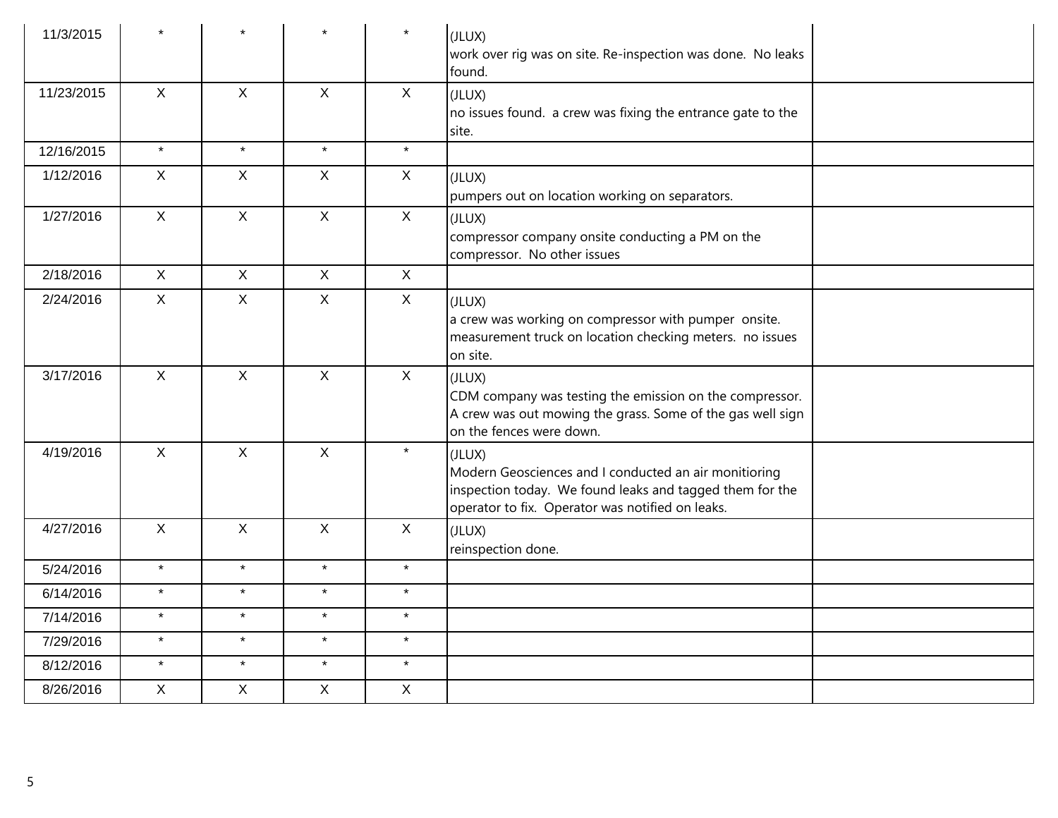| 11/3/2015  |              |              |              | $\star$      | (JLUX)<br>work over rig was on site. Re-inspection was done. No leaks<br>found.                                                                                                 |
|------------|--------------|--------------|--------------|--------------|---------------------------------------------------------------------------------------------------------------------------------------------------------------------------------|
| 11/23/2015 | $\mathsf{X}$ | $\mathsf{X}$ | $\mathsf{X}$ | $\mathsf{X}$ | (JLUX)<br>no issues found. a crew was fixing the entrance gate to the<br>site.                                                                                                  |
| 12/16/2015 | $\star$      | $\star$      | $\star$      | $\star$      |                                                                                                                                                                                 |
| 1/12/2016  | $\mathsf{X}$ | $\mathsf{X}$ | $\mathsf{X}$ | $\mathsf{X}$ | (JLUX)<br>pumpers out on location working on separators.                                                                                                                        |
| 1/27/2016  | $\mathsf{X}$ | $\mathsf{X}$ | $\mathsf{X}$ | $\mathsf{X}$ | (JLUX)<br>compressor company onsite conducting a PM on the<br>compressor. No other issues                                                                                       |
| 2/18/2016  | $\mathsf{X}$ | $\mathsf{X}$ | $\mathsf{X}$ | $\mathsf{X}$ |                                                                                                                                                                                 |
| 2/24/2016  | $\mathsf{X}$ | $\mathsf{X}$ | $\mathsf{X}$ | $\mathsf{X}$ | (JLUX)<br>a crew was working on compressor with pumper onsite.<br>measurement truck on location checking meters. no issues<br>on site.                                          |
| 3/17/2016  | $\mathsf{X}$ | $\mathsf{X}$ | $\mathsf{X}$ | $\mathsf{X}$ | (JLUX)<br>CDM company was testing the emission on the compressor.<br>A crew was out mowing the grass. Some of the gas well sign<br>on the fences were down.                     |
| 4/19/2016  | $\mathsf X$  | $\mathsf{X}$ | $\mathsf X$  | $\star$      | (JLUX)<br>Modern Geosciences and I conducted an air monitioring<br>inspection today. We found leaks and tagged them for the<br>operator to fix. Operator was notified on leaks. |
| 4/27/2016  | $\mathsf{X}$ | $\mathsf{X}$ | $\mathsf{X}$ | $\mathsf{X}$ | (JLUX)<br>reinspection done.                                                                                                                                                    |
| 5/24/2016  | $\star$      | $\star$      | $\star$      | $\star$      |                                                                                                                                                                                 |
| 6/14/2016  | $\star$      | $\star$      | $\star$      | $\star$      |                                                                                                                                                                                 |
| 7/14/2016  | $\star$      | $\star$      | $\star$      | $\star$      |                                                                                                                                                                                 |
| 7/29/2016  | $\star$      | $\star$      | $\star$      | $\star$      |                                                                                                                                                                                 |
| 8/12/2016  | $\star$      | $\star$      | $\star$      | $\star$      |                                                                                                                                                                                 |
| 8/26/2016  | $\mathsf{X}$ | $\mathsf{X}$ | $\mathsf{X}$ | $\mathsf X$  |                                                                                                                                                                                 |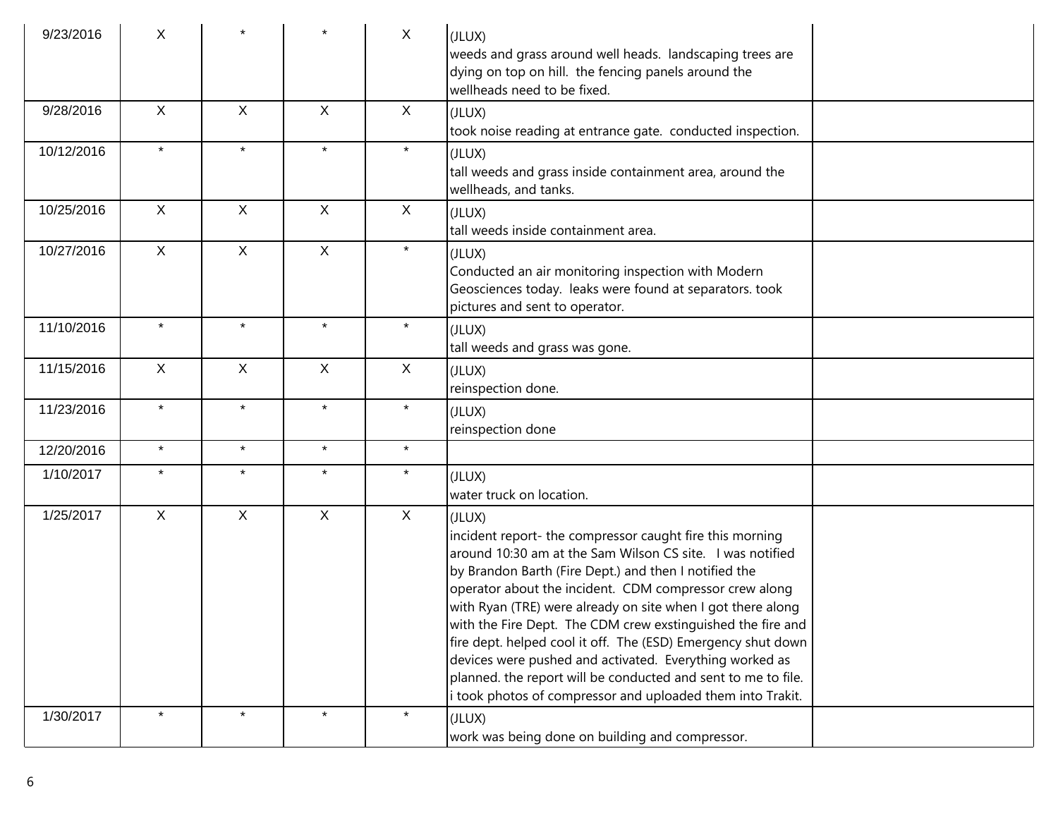| 9/23/2016  | X            |              |              | $\mathsf{X}$ | (JLUX)<br>weeds and grass around well heads. landscaping trees are<br>dying on top on hill. the fencing panels around the<br>wellheads need to be fixed.                                                                                                                                                                                                                                                                                                                                                                                                                                                                                   |  |
|------------|--------------|--------------|--------------|--------------|--------------------------------------------------------------------------------------------------------------------------------------------------------------------------------------------------------------------------------------------------------------------------------------------------------------------------------------------------------------------------------------------------------------------------------------------------------------------------------------------------------------------------------------------------------------------------------------------------------------------------------------------|--|
| 9/28/2016  | $\mathsf{X}$ | $\mathsf{X}$ | $\mathsf{X}$ | $\mathsf{X}$ | (JLUX)<br>took noise reading at entrance gate. conducted inspection.                                                                                                                                                                                                                                                                                                                                                                                                                                                                                                                                                                       |  |
| 10/12/2016 | $\star$      | $\star$      | $\star$      | $\star$      | (JLUX)<br>tall weeds and grass inside containment area, around the<br>wellheads, and tanks.                                                                                                                                                                                                                                                                                                                                                                                                                                                                                                                                                |  |
| 10/25/2016 | $\mathsf{X}$ | $\mathsf{X}$ | $\mathsf{X}$ | X            | (JLUX)<br>tall weeds inside containment area.                                                                                                                                                                                                                                                                                                                                                                                                                                                                                                                                                                                              |  |
| 10/27/2016 | $\mathsf{X}$ | $\mathsf{X}$ | $\mathsf{X}$ | $\star$      | (JLUX)<br>Conducted an air monitoring inspection with Modern<br>Geosciences today. leaks were found at separators. took<br>pictures and sent to operator.                                                                                                                                                                                                                                                                                                                                                                                                                                                                                  |  |
| 11/10/2016 | $\star$      | $\star$      | $\star$      | $\star$      | (JLUX)<br>tall weeds and grass was gone.                                                                                                                                                                                                                                                                                                                                                                                                                                                                                                                                                                                                   |  |
| 11/15/2016 | $\mathsf{X}$ | $\mathsf{X}$ | $\mathsf{X}$ | X            | (JLUX)<br>reinspection done.                                                                                                                                                                                                                                                                                                                                                                                                                                                                                                                                                                                                               |  |
| 11/23/2016 | $\star$      | $\star$      | $\star$      | $\star$      | (JLUX)<br>reinspection done                                                                                                                                                                                                                                                                                                                                                                                                                                                                                                                                                                                                                |  |
| 12/20/2016 | $\star$      | $\star$      | $\star$      | $\star$      |                                                                                                                                                                                                                                                                                                                                                                                                                                                                                                                                                                                                                                            |  |
| 1/10/2017  | $\star$      | $\star$      | $\star$      | $\star$      | (JLUX)<br>water truck on location.                                                                                                                                                                                                                                                                                                                                                                                                                                                                                                                                                                                                         |  |
| 1/25/2017  | $\sf X$      | $\mathsf{X}$ | $\mathsf{X}$ | X            | (JLUX)<br>incident report- the compressor caught fire this morning<br>around 10:30 am at the Sam Wilson CS site. I was notified<br>by Brandon Barth (Fire Dept.) and then I notified the<br>operator about the incident. CDM compressor crew along<br>with Ryan (TRE) were already on site when I got there along<br>with the Fire Dept. The CDM crew exstinguished the fire and<br>fire dept. helped cool it off. The (ESD) Emergency shut down<br>devices were pushed and activated. Everything worked as<br>planned. the report will be conducted and sent to me to file.<br>i took photos of compressor and uploaded them into Trakit. |  |
| 1/30/2017  | $\star$      | $\star$      | $\star$      | $\star$      | (JLUX)<br>work was being done on building and compressor.                                                                                                                                                                                                                                                                                                                                                                                                                                                                                                                                                                                  |  |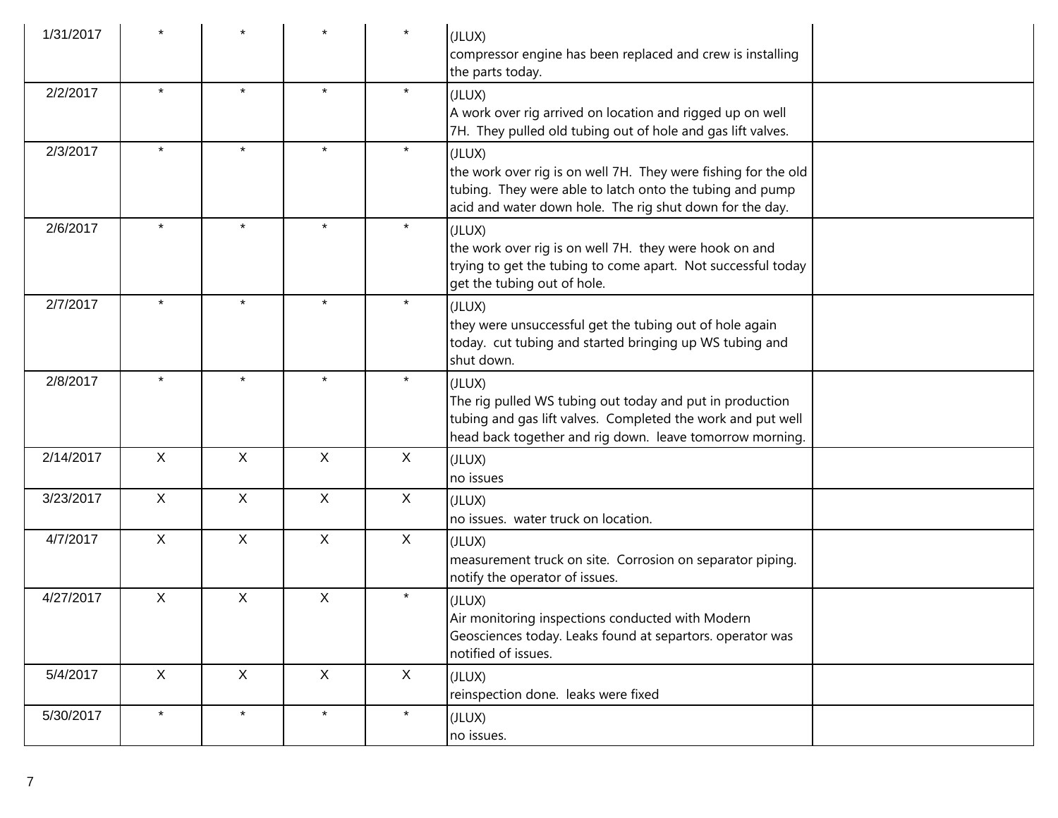| 1/31/2017 |              |              |              |              | (JLUX)<br>compressor engine has been replaced and crew is installing<br>the parts today.                                                                                                         |
|-----------|--------------|--------------|--------------|--------------|--------------------------------------------------------------------------------------------------------------------------------------------------------------------------------------------------|
| 2/2/2017  | $\star$      | $\star$      | $\star$      | $\star$      | (JLUX)<br>A work over rig arrived on location and rigged up on well<br>7H. They pulled old tubing out of hole and gas lift valves.                                                               |
| 2/3/2017  | $\star$      | $\star$      | $\star$      | $\star$      | (JLUX)<br>the work over rig is on well 7H. They were fishing for the old<br>tubing. They were able to latch onto the tubing and pump<br>acid and water down hole. The rig shut down for the day. |
| 2/6/2017  | $\star$      | $\star$      | $\star$      | $\star$      | (JLUX)<br>the work over rig is on well 7H. they were hook on and<br>trying to get the tubing to come apart. Not successful today<br>get the tubing out of hole.                                  |
| 2/7/2017  | $\star$      | $\star$      | $\star$      | $\star$      | (JLUX)<br>they were unsuccessful get the tubing out of hole again<br>today. cut tubing and started bringing up WS tubing and<br>shut down.                                                       |
| 2/8/2017  | $\star$      | $\star$      | $\star$      | $\star$      | (JLUX)<br>The rig pulled WS tubing out today and put in production<br>tubing and gas lift valves. Completed the work and put well<br>head back together and rig down. leave tomorrow morning.    |
| 2/14/2017 | X            | X            | X            | X            | (JLUX)<br>no issues                                                                                                                                                                              |
| 3/23/2017 | $\mathsf{X}$ | $\mathsf{X}$ | $\mathsf{X}$ | $\mathsf{X}$ | (JLUX)<br>no issues. water truck on location.                                                                                                                                                    |
| 4/7/2017  | X            | $\mathsf{X}$ | $\mathsf{X}$ | X            | (JLUX)<br>measurement truck on site. Corrosion on separator piping.<br>notify the operator of issues.                                                                                            |
| 4/27/2017 | X            | X            | X            | $\star$      | (JLUX)<br>Air monitoring inspections conducted with Modern<br>Geosciences today. Leaks found at separtors. operator was<br>notified of issues.                                                   |
| 5/4/2017  | X            | $\mathsf{X}$ | X            | X            | (JLUX)<br>reinspection done. leaks were fixed                                                                                                                                                    |
| 5/30/2017 | $\star$      | $\star$      | $\star$      | $\star$      | (JLUX)<br>no issues.                                                                                                                                                                             |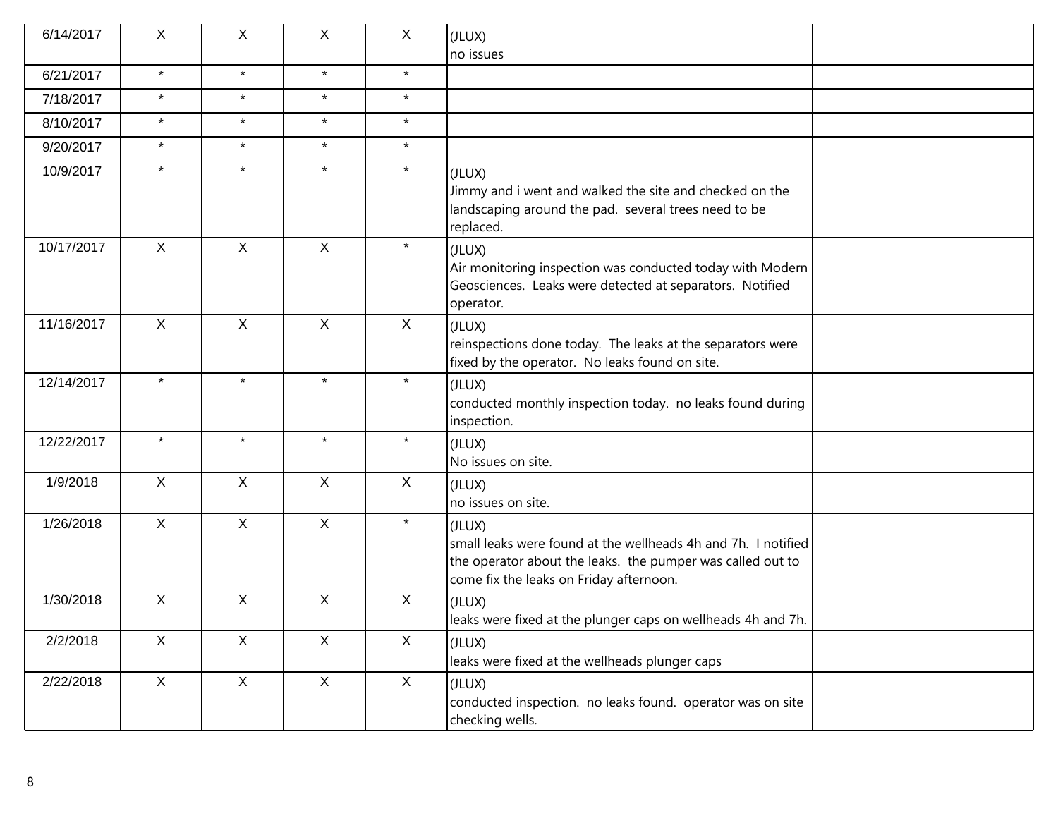| 6/14/2017  | X            | X            | X            | X            | (JLUX)<br>no issues                                                                                                                                                              |
|------------|--------------|--------------|--------------|--------------|----------------------------------------------------------------------------------------------------------------------------------------------------------------------------------|
| 6/21/2017  | $\star$      | $\star$      | $\star$      | $\star$      |                                                                                                                                                                                  |
| 7/18/2017  | $\star$      | $\star$      | $\star$      | $\star$      |                                                                                                                                                                                  |
| 8/10/2017  | $\star$      | $\star$      | $\star$      | $\star$      |                                                                                                                                                                                  |
| 9/20/2017  | $\star$      | $\star$      | $\star$      | $\star$      |                                                                                                                                                                                  |
| 10/9/2017  | $\star$      | $\star$      | $\star$      | $\star$      | (JLUX)<br>Jimmy and i went and walked the site and checked on the<br>landscaping around the pad. several trees need to be<br>replaced.                                           |
| 10/17/2017 | $\mathsf{X}$ | $\mathsf{X}$ | $\mathsf{X}$ | $\star$      | (JLUX)<br>Air monitoring inspection was conducted today with Modern<br>Geosciences. Leaks were detected at separators. Notified<br>operator.                                     |
| 11/16/2017 | $\mathsf{X}$ | $\mathsf{X}$ | $\mathsf{X}$ | $\mathsf{X}$ | (JLUX)<br>reinspections done today. The leaks at the separators were<br>fixed by the operator. No leaks found on site.                                                           |
| 12/14/2017 | $\star$      | $\star$      | $\star$      | $\star$      | (JLUX)<br>conducted monthly inspection today. no leaks found during<br>inspection.                                                                                               |
| 12/22/2017 | $\star$      | $\star$      | $\star$      | $\star$      | (JLUX)<br>No issues on site.                                                                                                                                                     |
| 1/9/2018   | $\mathsf{X}$ | $\mathsf{X}$ | $\mathsf{X}$ | X            | (JLUX)<br>no issues on site.                                                                                                                                                     |
| 1/26/2018  | $\mathsf{X}$ | $\mathsf{X}$ | $\mathsf{X}$ | $\star$      | (JLUX)<br>small leaks were found at the wellheads 4h and 7h. I notified<br>the operator about the leaks. the pumper was called out to<br>come fix the leaks on Friday afternoon. |
| 1/30/2018  | $\mathsf{X}$ | $\mathsf{X}$ | X            | $\mathsf{X}$ | (JLUX)<br>leaks were fixed at the plunger caps on wellheads 4h and 7h.                                                                                                           |
| 2/2/2018   | $\mathsf{X}$ | $\mathsf{X}$ | $\mathsf{X}$ | $\mathsf{X}$ | (JLUX)<br>leaks were fixed at the wellheads plunger caps                                                                                                                         |
| 2/22/2018  | X            | $\mathsf X$  | $\mathsf{X}$ | $\mathsf{X}$ | (JLUX)<br>conducted inspection. no leaks found. operator was on site<br>checking wells.                                                                                          |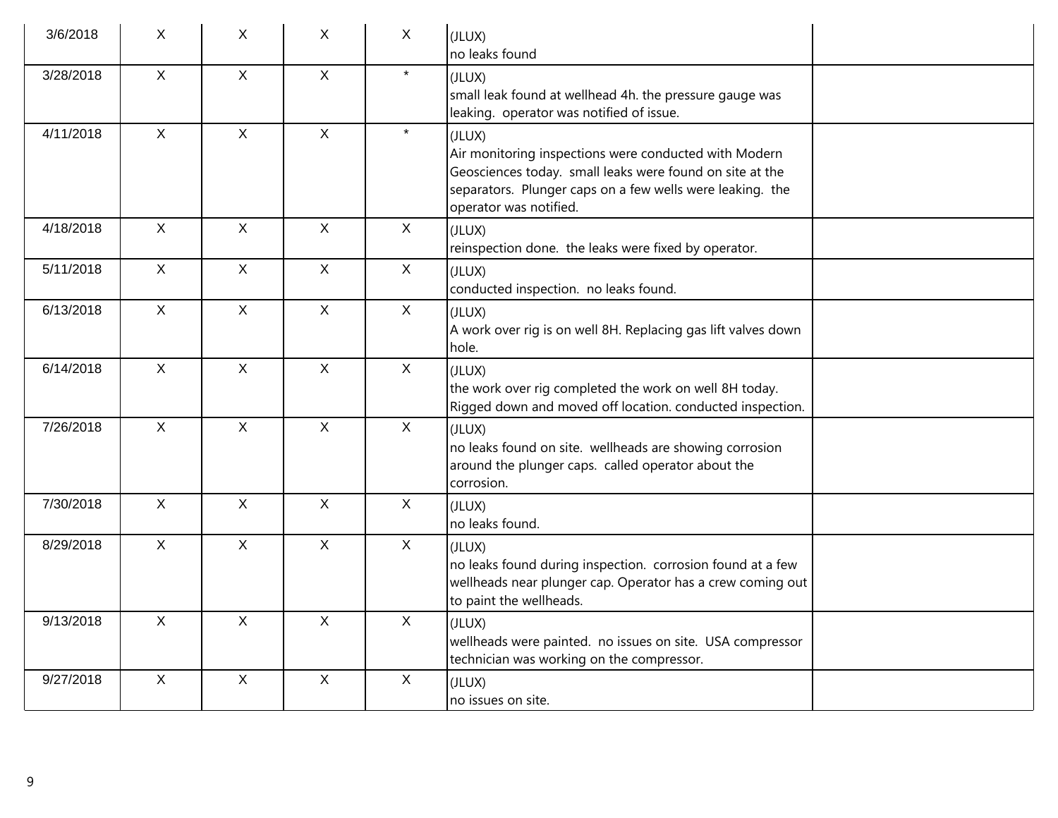| 3/6/2018  | X            | X            | X            | $\mathsf{X}$ | (JLUX)<br>no leaks found                                                                                                                                                                                           |  |
|-----------|--------------|--------------|--------------|--------------|--------------------------------------------------------------------------------------------------------------------------------------------------------------------------------------------------------------------|--|
| 3/28/2018 | $\mathsf{X}$ | $\mathsf{X}$ | $\mathsf{X}$ | $\star$      | (JLUX)<br>small leak found at wellhead 4h. the pressure gauge was<br>leaking. operator was notified of issue.                                                                                                      |  |
| 4/11/2018 | $\mathsf{X}$ | $\mathsf{X}$ | $\mathsf{X}$ | $\star$      | (JLUX)<br>Air monitoring inspections were conducted with Modern<br>Geosciences today. small leaks were found on site at the<br>separators. Plunger caps on a few wells were leaking. the<br>operator was notified. |  |
| 4/18/2018 | $\mathsf{X}$ | $\mathsf{X}$ | $\mathsf{X}$ | X            | (JLUX)<br>reinspection done. the leaks were fixed by operator.                                                                                                                                                     |  |
| 5/11/2018 | $\mathsf{X}$ | $\mathsf{X}$ | $\mathsf{X}$ | $\mathsf{X}$ | (JLUX)<br>conducted inspection. no leaks found.                                                                                                                                                                    |  |
| 6/13/2018 | $\mathsf{X}$ | $\mathsf{X}$ | $\mathsf{X}$ | $\mathsf{X}$ | (JLUX)<br>A work over rig is on well 8H. Replacing gas lift valves down<br>hole.                                                                                                                                   |  |
| 6/14/2018 | $\mathsf{X}$ | $\mathsf{X}$ | $\mathsf{X}$ | $\mathsf{X}$ | (JLUX)<br>the work over rig completed the work on well 8H today.<br>Rigged down and moved off location. conducted inspection.                                                                                      |  |
| 7/26/2018 | $\mathsf{X}$ | $\mathsf{X}$ | $\mathsf{X}$ | $\mathsf{X}$ | (JLUX)<br>no leaks found on site. wellheads are showing corrosion<br>around the plunger caps. called operator about the<br>corrosion.                                                                              |  |
| 7/30/2018 | $\mathsf{X}$ | $\mathsf{X}$ | $\mathsf{X}$ | $\mathsf{X}$ | (JLUX)<br>no leaks found.                                                                                                                                                                                          |  |
| 8/29/2018 | $\mathsf{X}$ | $\mathsf{X}$ | $\mathsf{X}$ | $\mathsf{X}$ | (JLUX)<br>no leaks found during inspection. corrosion found at a few<br>wellheads near plunger cap. Operator has a crew coming out<br>to paint the wellheads.                                                      |  |
| 9/13/2018 | $\mathsf{X}$ | $\mathsf{X}$ | $\mathsf{X}$ | $\mathsf{X}$ | (JLUX)<br>wellheads were painted. no issues on site. USA compressor<br>technician was working on the compressor.                                                                                                   |  |
| 9/27/2018 | $\mathsf X$  | $\mathsf X$  | $\mathsf{X}$ | $\mathsf X$  | (JLUX)<br>no issues on site.                                                                                                                                                                                       |  |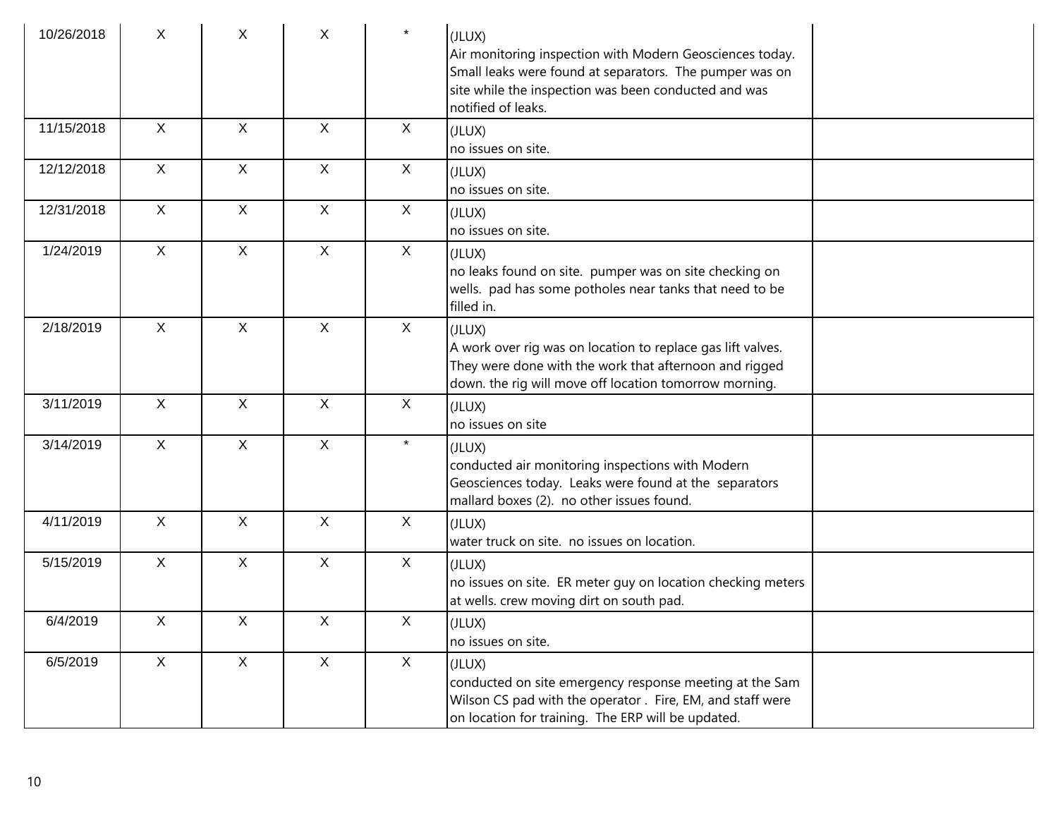| 10/26/2018 | X              | X                         | X            | $\star$     | (JLUX)<br>Air monitoring inspection with Modern Geosciences today.<br>Small leaks were found at separators. The pumper was on<br>site while the inspection was been conducted and was<br>notified of leaks. |  |
|------------|----------------|---------------------------|--------------|-------------|-------------------------------------------------------------------------------------------------------------------------------------------------------------------------------------------------------------|--|
| 11/15/2018 | $\mathsf{X}$   | $\mathsf{X}$              | $\mathsf{X}$ | X           | (JLUX)<br>no issues on site.                                                                                                                                                                                |  |
| 12/12/2018 | X              | X                         | $\mathsf{X}$ | X           | (JLUX)<br>no issues on site.                                                                                                                                                                                |  |
| 12/31/2018 | $\mathsf{X}$   | $\mathsf{X}$              | $\mathsf{X}$ | X           | (JLUX)<br>no issues on site.                                                                                                                                                                                |  |
| 1/24/2019  | $\mathsf{X}$   | X                         | $\mathsf{X}$ | X           | (JLUX)<br>no leaks found on site. pumper was on site checking on<br>wells. pad has some potholes near tanks that need to be<br>filled in.                                                                   |  |
| 2/18/2019  | $\mathsf{X}$   | $\mathsf{X}$              | $\mathsf{X}$ | X           | (JLUX)<br>A work over rig was on location to replace gas lift valves.<br>They were done with the work that afternoon and rigged<br>down. the rig will move off location tomorrow morning.                   |  |
| 3/11/2019  | $\mathsf{X}$   | $\mathsf{X}$              | $\mathsf{X}$ | X           | (JLUX)<br>no issues on site                                                                                                                                                                                 |  |
| 3/14/2019  | $\mathsf{X}$   | $\mathsf{X}$              | $\mathsf{X}$ | $\star$     | (JLUX)<br>conducted air monitoring inspections with Modern<br>Geosciences today. Leaks were found at the separators<br>mallard boxes (2). no other issues found.                                            |  |
| 4/11/2019  | X              | $\boldsymbol{\mathsf{X}}$ | X            | X           | (JLUX)<br>water truck on site. no issues on location.                                                                                                                                                       |  |
| 5/15/2019  | $\mathsf{X}$   | X                         | $\mathsf{X}$ | X           | (JLUX)<br>no issues on site. ER meter guy on location checking meters<br>at wells. crew moving dirt on south pad.                                                                                           |  |
| 6/4/2019   | $\mathsf{X}^-$ | $\mathsf X$               | $\mathsf X$  | $\mathsf X$ | (JLUX)<br>no issues on site.                                                                                                                                                                                |  |
| 6/5/2019   | X              | $\mathsf{X}$              | $\mathsf{X}$ | X           | (JLUX)<br>conducted on site emergency response meeting at the Sam<br>Wilson CS pad with the operator . Fire, EM, and staff were<br>on location for training. The ERP will be updated.                       |  |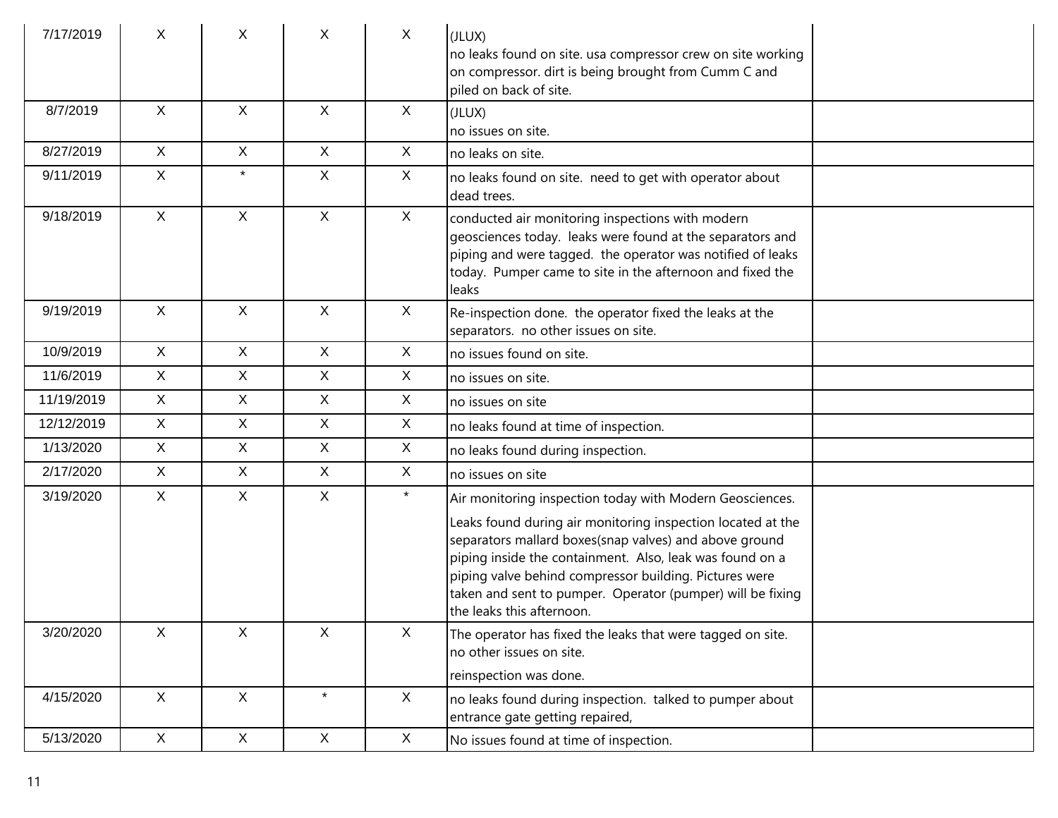| 7/17/2019  | X            | X            | $\mathsf{X}$ | $\sf X$      | (JLUX)<br>no leaks found on site. usa compressor crew on site working<br>on compressor. dirt is being brought from Cumm C and<br>piled on back of site.                                                                                                                                                                                |  |
|------------|--------------|--------------|--------------|--------------|----------------------------------------------------------------------------------------------------------------------------------------------------------------------------------------------------------------------------------------------------------------------------------------------------------------------------------------|--|
| 8/7/2019   | $\mathsf{X}$ | $\mathsf{X}$ | $\mathsf{X}$ | $\sf X$      | (JLUX)<br>no issues on site.                                                                                                                                                                                                                                                                                                           |  |
| 8/27/2019  | X            | X            | $\mathsf{X}$ | $\sf X$      | no leaks on site.                                                                                                                                                                                                                                                                                                                      |  |
| 9/11/2019  | $\mathsf{X}$ | $\star$      | $\mathsf X$  | $\mathsf{X}$ | no leaks found on site. need to get with operator about<br>dead trees.                                                                                                                                                                                                                                                                 |  |
| 9/18/2019  | $\mathsf{X}$ | X            | $\mathsf{X}$ | $\mathsf{X}$ | conducted air monitoring inspections with modern<br>geosciences today. leaks were found at the separators and<br>piping and were tagged. the operator was notified of leaks<br>today. Pumper came to site in the afternoon and fixed the<br>leaks                                                                                      |  |
| 9/19/2019  | $\mathsf{X}$ | $\mathsf{X}$ | $\mathsf{X}$ | $\sf X$      | Re-inspection done. the operator fixed the leaks at the<br>separators. no other issues on site.                                                                                                                                                                                                                                        |  |
| 10/9/2019  | X            | $\mathsf{X}$ | $\mathsf{X}$ | $\sf X$      | no issues found on site.                                                                                                                                                                                                                                                                                                               |  |
| 11/6/2019  | X            | X            | $\mathsf{X}$ | $\sf X$      | no issues on site.                                                                                                                                                                                                                                                                                                                     |  |
| 11/19/2019 | $\mathsf{X}$ | X            | $\mathsf{X}$ | $\sf X$      | no issues on site                                                                                                                                                                                                                                                                                                                      |  |
| 12/12/2019 | $\mathsf{X}$ | X            | $\mathsf{X}$ | $\sf X$      | no leaks found at time of inspection.                                                                                                                                                                                                                                                                                                  |  |
| 1/13/2020  | $\mathsf{X}$ | X            | $\mathsf{X}$ | $\sf X$      | no leaks found during inspection.                                                                                                                                                                                                                                                                                                      |  |
| 2/17/2020  | $\mathsf{X}$ | X            | $\mathsf{X}$ | $\sf X$      | no issues on site                                                                                                                                                                                                                                                                                                                      |  |
| 3/19/2020  | $\mathsf{X}$ | X            | $\mathsf X$  | $\star$      | Air monitoring inspection today with Modern Geosciences.                                                                                                                                                                                                                                                                               |  |
|            |              |              |              |              | Leaks found during air monitoring inspection located at the<br>separators mallard boxes(snap valves) and above ground<br>piping inside the containment. Also, leak was found on a<br>piping valve behind compressor building. Pictures were<br>taken and sent to pumper. Operator (pumper) will be fixing<br>the leaks this afternoon. |  |
| 3/20/2020  | X            | X            | $\mathsf X$  | $\mathsf X$  | The operator has fixed the leaks that were tagged on site.<br>no other issues on site.                                                                                                                                                                                                                                                 |  |
|            |              |              |              |              | reinspection was done.                                                                                                                                                                                                                                                                                                                 |  |
| 4/15/2020  | $\mathsf{X}$ | $\mathsf X$  | $\star$      | X            | no leaks found during inspection. talked to pumper about<br>entrance gate getting repaired,                                                                                                                                                                                                                                            |  |
| 5/13/2020  | X            | X            | $\mathsf X$  | X            | No issues found at time of inspection.                                                                                                                                                                                                                                                                                                 |  |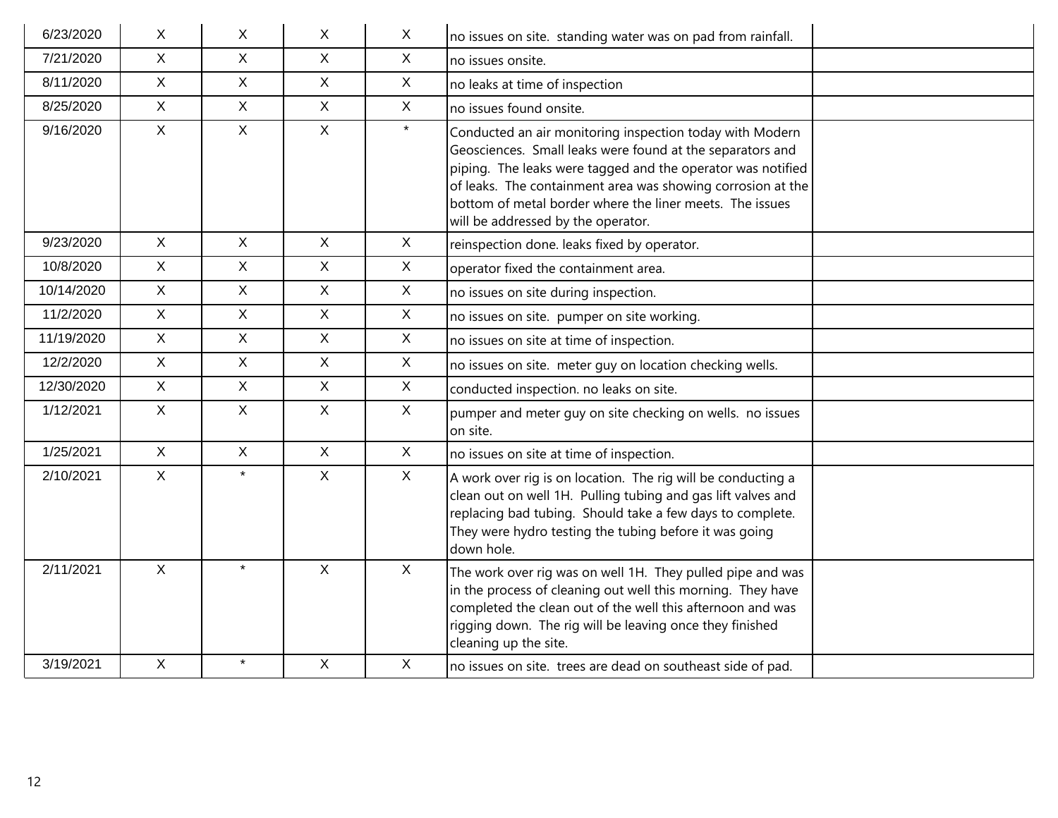| 6/23/2020  | $\mathsf{X}$ | $\mathsf{X}$ | X                         | $\boldsymbol{X}$          | no issues on site. standing water was on pad from rainfall.                                                                                                                                                                                                                                                                                           |  |
|------------|--------------|--------------|---------------------------|---------------------------|-------------------------------------------------------------------------------------------------------------------------------------------------------------------------------------------------------------------------------------------------------------------------------------------------------------------------------------------------------|--|
| 7/21/2020  | $\mathsf{X}$ | $\mathsf{X}$ | $\sf X$                   | $\mathsf{X}$              | no issues onsite.                                                                                                                                                                                                                                                                                                                                     |  |
| 8/11/2020  | $\mathsf{X}$ | $\mathsf{X}$ | $\mathsf{X}$              | $\mathsf{X}$              | no leaks at time of inspection                                                                                                                                                                                                                                                                                                                        |  |
| 8/25/2020  | $\mathsf{X}$ | $\mathsf{X}$ | $\mathsf{X}$              | $\mathsf{X}$              | no issues found onsite.                                                                                                                                                                                                                                                                                                                               |  |
| 9/16/2020  | $\mathsf{X}$ | $\mathsf{X}$ | $\mathsf{X}$              | $\star$                   | Conducted an air monitoring inspection today with Modern<br>Geosciences. Small leaks were found at the separators and<br>piping. The leaks were tagged and the operator was notified<br>of leaks. The containment area was showing corrosion at the<br>bottom of metal border where the liner meets. The issues<br>will be addressed by the operator. |  |
| 9/23/2020  | $\mathsf{X}$ | $\sf X$      | $\sf X$                   | $\mathsf{X}$              | reinspection done. leaks fixed by operator.                                                                                                                                                                                                                                                                                                           |  |
| 10/8/2020  | $\mathsf{X}$ | $\mathsf{X}$ | $\mathsf{X}$              | $\mathsf X$               | operator fixed the containment area.                                                                                                                                                                                                                                                                                                                  |  |
| 10/14/2020 | X            | $\mathsf{X}$ | $\mathsf{X}$              | X                         | no issues on site during inspection.                                                                                                                                                                                                                                                                                                                  |  |
| 11/2/2020  | $\mathsf X$  | $\mathsf X$  | X                         | $\boldsymbol{\mathsf{X}}$ | no issues on site. pumper on site working.                                                                                                                                                                                                                                                                                                            |  |
| 11/19/2020 | $\mathsf{X}$ | $\sf X$      | X                         | X                         | no issues on site at time of inspection.                                                                                                                                                                                                                                                                                                              |  |
| 12/2/2020  | $\mathsf{X}$ | $\mathsf{X}$ | $\mathsf{X}$              | $\mathsf{X}$              | no issues on site. meter guy on location checking wells.                                                                                                                                                                                                                                                                                              |  |
| 12/30/2020 | X            | $\mathsf{X}$ | $\mathsf{X}$              | $\mathsf{X}$              | conducted inspection. no leaks on site.                                                                                                                                                                                                                                                                                                               |  |
| 1/12/2021  | $\mathsf{X}$ | $\mathsf{X}$ | X                         | $\mathsf X$               | pumper and meter guy on site checking on wells. no issues<br>on site.                                                                                                                                                                                                                                                                                 |  |
| 1/25/2021  | $\mathsf{X}$ | $\mathsf{X}$ | $\mathsf{X}$              | $\mathsf{X}$              | no issues on site at time of inspection.                                                                                                                                                                                                                                                                                                              |  |
| 2/10/2021  | $\mathsf{X}$ | $\star$      | $\mathsf{X}$              | $\mathsf{X}$              | A work over rig is on location. The rig will be conducting a<br>clean out on well 1H. Pulling tubing and gas lift valves and<br>replacing bad tubing. Should take a few days to complete.<br>They were hydro testing the tubing before it was going<br>down hole.                                                                                     |  |
| 2/11/2021  | $\sf X$      | $\star$      | $\sf X$                   | $\mathsf{X}$              | The work over rig was on well 1H. They pulled pipe and was<br>in the process of cleaning out well this morning. They have<br>completed the clean out of the well this afternoon and was<br>rigging down. The rig will be leaving once they finished<br>cleaning up the site.                                                                          |  |
| 3/19/2021  | $\mathsf{X}$ | $\star$      | $\boldsymbol{\mathsf{X}}$ | X                         | no issues on site. trees are dead on southeast side of pad.                                                                                                                                                                                                                                                                                           |  |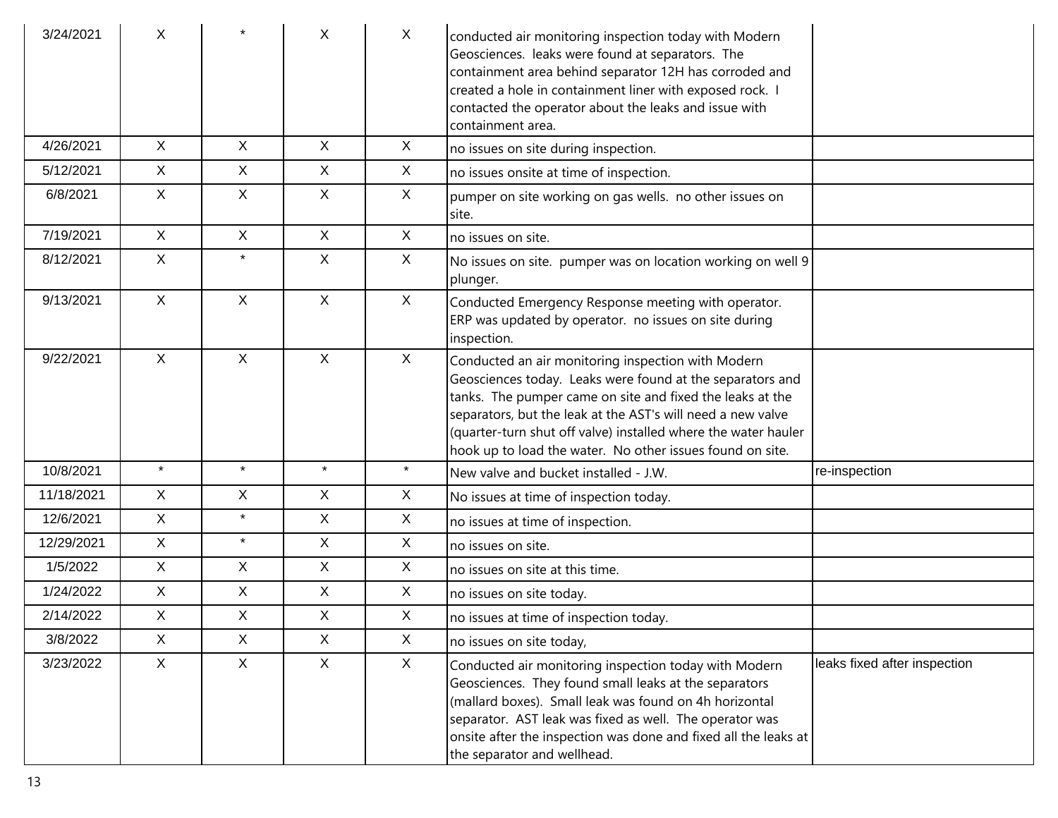| 3/24/2021  | X            |              | X            | X            | conducted air monitoring inspection today with Modern<br>Geosciences. leaks were found at separators. The<br>containment area behind separator 12H has corroded and<br>created a hole in containment liner with exposed rock. I<br>contacted the operator about the leaks and issue with<br>containment area.                                                              |                              |
|------------|--------------|--------------|--------------|--------------|----------------------------------------------------------------------------------------------------------------------------------------------------------------------------------------------------------------------------------------------------------------------------------------------------------------------------------------------------------------------------|------------------------------|
| 4/26/2021  | $\mathsf{X}$ | $\mathsf{X}$ | X            | X            | no issues on site during inspection.                                                                                                                                                                                                                                                                                                                                       |                              |
| 5/12/2021  | $\mathsf{X}$ | X            | $\mathsf{X}$ | X            | no issues onsite at time of inspection.                                                                                                                                                                                                                                                                                                                                    |                              |
| 6/8/2021   | $\mathsf{X}$ | $\mathsf{X}$ | $\mathsf{X}$ | $\mathsf{X}$ | pumper on site working on gas wells. no other issues on<br>site.                                                                                                                                                                                                                                                                                                           |                              |
| 7/19/2021  | X            | $\mathsf{X}$ | $\mathsf{X}$ | X            | no issues on site.                                                                                                                                                                                                                                                                                                                                                         |                              |
| 8/12/2021  | X            | $\star$      | X            | X            | No issues on site. pumper was on location working on well 9<br>plunger.                                                                                                                                                                                                                                                                                                    |                              |
| 9/13/2021  | X            | X            | $\mathsf{X}$ | X            | Conducted Emergency Response meeting with operator.<br>ERP was updated by operator. no issues on site during<br>inspection.                                                                                                                                                                                                                                                |                              |
| 9/22/2021  | $\mathsf{X}$ | $\mathsf{X}$ | $\mathsf{X}$ | X            | Conducted an air monitoring inspection with Modern<br>Geosciences today. Leaks were found at the separators and<br>tanks. The pumper came on site and fixed the leaks at the<br>separators, but the leak at the AST's will need a new valve<br>(quarter-turn shut off valve) installed where the water hauler<br>hook up to load the water. No other issues found on site. |                              |
| 10/8/2021  | $\star$      | $\star$      | $\star$      | $\star$      | New valve and bucket installed - J.W.                                                                                                                                                                                                                                                                                                                                      | re-inspection                |
| 11/18/2021 | $\mathsf{X}$ | $\mathsf{X}$ | $\mathsf{X}$ | X            | No issues at time of inspection today.                                                                                                                                                                                                                                                                                                                                     |                              |
| 12/6/2021  | $\mathsf{X}$ | $\star$      | $\mathsf{X}$ | $\mathsf{X}$ | no issues at time of inspection.                                                                                                                                                                                                                                                                                                                                           |                              |
| 12/29/2021 | $\mathsf{X}$ | $\star$      | $\mathsf{X}$ | $\mathsf{X}$ | no issues on site.                                                                                                                                                                                                                                                                                                                                                         |                              |
| 1/5/2022   | $\mathsf{X}$ | $\mathsf{X}$ | X            | $\mathsf{X}$ | no issues on site at this time.                                                                                                                                                                                                                                                                                                                                            |                              |
| 1/24/2022  | $\mathsf{X}$ | $\mathsf{X}$ | $\mathsf{X}$ | $\mathsf{X}$ | no issues on site today.                                                                                                                                                                                                                                                                                                                                                   |                              |
| 2/14/2022  | $\mathsf{X}$ | $\mathsf{X}$ | X            | $\mathsf{X}$ | no issues at time of inspection today.                                                                                                                                                                                                                                                                                                                                     |                              |
| 3/8/2022   | $\mathsf{X}$ | $\mathsf{X}$ | $\mathsf{X}$ | X            | no issues on site today,                                                                                                                                                                                                                                                                                                                                                   |                              |
| 3/23/2022  | X            | $\mathsf{X}$ | $\mathsf{X}$ | $\mathsf{X}$ | Conducted air monitoring inspection today with Modern<br>Geosciences. They found small leaks at the separators<br>(mallard boxes). Small leak was found on 4h horizontal<br>separator. AST leak was fixed as well. The operator was<br>onsite after the inspection was done and fixed all the leaks at<br>the separator and wellhead.                                      | leaks fixed after inspection |